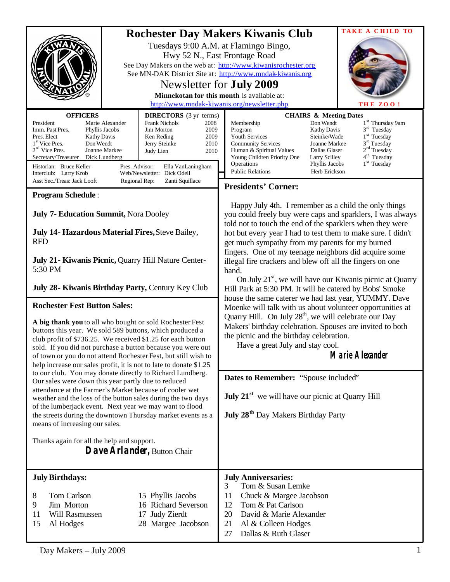|                                                                                                                                                                                                                                                                                                                                                                                                                                                                                                                                                                                                                 | TAKE A CHILD TO<br><b>Rochester Day Makers Kiwanis Club</b><br>Tuesdays 9:00 A.M. at Flamingo Bingo,<br>Hwy 52 N., East Frontage Road<br>See Day Makers on the web at: http://www.kiwanisrochester.org<br>See MN-DAK District Site at: http://www.mndak-kiwanis.org<br>Newsletter for <b>July 2009</b><br>Minnekotan for this month is available at:<br>http://www.mndak-kiwanis.org/newsletter.php<br>THE ZOO!                                                                                                                                                                                                                                                                                                                                                                                                                                                                                                                        |
|-----------------------------------------------------------------------------------------------------------------------------------------------------------------------------------------------------------------------------------------------------------------------------------------------------------------------------------------------------------------------------------------------------------------------------------------------------------------------------------------------------------------------------------------------------------------------------------------------------------------|----------------------------------------------------------------------------------------------------------------------------------------------------------------------------------------------------------------------------------------------------------------------------------------------------------------------------------------------------------------------------------------------------------------------------------------------------------------------------------------------------------------------------------------------------------------------------------------------------------------------------------------------------------------------------------------------------------------------------------------------------------------------------------------------------------------------------------------------------------------------------------------------------------------------------------------|
| <b>OFFICERS</b><br><b>DIRECTORS</b> (3 yr terms)<br>President<br>Marie Alexander<br><b>Frank Nichols</b><br>2008<br>Imm. Past Pres.<br>Phyllis Jacobs<br><b>Jim Morton</b><br>2009<br>Pres. Elect<br><b>Kathy Davis</b><br>Ken Reding<br>2009<br>1 <sup>st</sup> Vice Pres.<br>Don Wendt<br>Jerry Steinke<br>2010<br>$2nd$ Vice Pres.<br>Joanne Markee<br>Judy Lien<br>2010<br>Secretary/Treasurer<br>Dick Lundberg<br>Historian: Bruce Keller<br>Pres. Advisor:<br>Ella VanLaningham<br>Web/Newsletter: Dick Odell<br>Interclub: Larry Krob<br>Asst Sec./Treas: Jack Looft<br>Regional Rep:<br>Zanti Squillace | <b>CHAIRS &amp; Meeting Dates</b><br>Don Wendt<br>1 <sup>st</sup> Thursday 9am<br>Membership<br>$3rd$ Tuesday<br>Program<br><b>Kathy Davis</b><br>$1st$ Tuesday<br>Youth Services<br>Steinke/Wade<br>$3rd$ Tuesday<br><b>Community Services</b><br>Joanne Markee<br>2 <sup>nd</sup> Tuesday<br>Human & Spiritual Values<br>Dallas Glaser<br>4 <sup>th</sup> Tuesday<br>Young Children Priority One<br>Larry Scilley<br>$1st$ Tuesday<br>Operations<br>Phyllis Jacobs<br><b>Public Relations</b><br>Herb Erickson<br><b>Presidents' Corner:</b>                                                                                                                                                                                                                                                                                                                                                                                         |
| <b>Program Schedule:</b><br>July 7- Education Summit, Nora Dooley<br>July 14- Hazardous Material Fires, Steve Bailey,<br><b>RFD</b><br>July 21 - Kiwanis Picnic, Quarry Hill Nature Center-<br>5:30 PM<br>July 28 - Kiwanis Birthday Party, Century Key Club<br><b>Rochester Fest Button Sales:</b>                                                                                                                                                                                                                                                                                                             | Happy July 4th. I remember as a child the only things<br>you could freely buy were caps and sparklers, I was always<br>told not to touch the end of the sparklers when they were<br>hot but every year I had to test them to make sure. I didn't<br>get much sympathy from my parents for my burned<br>fingers. One of my teenage neighbors did acquire some<br>illegal fire crackers and blew off all the fingers on one<br>hand.<br>On July 21 <sup>st</sup> , we will have our Kiwanis picnic at Quarry<br>Hill Park at 5:30 PM. It will be catered by Bobs' Smoke<br>house the same caterer we had last year, YUMMY. Dave<br>Moenke will talk with us about volunteer opportunities at<br>Quarry Hill. On July 28 <sup>th</sup> , we will celebrate our Day<br>Makers' birthday celebration. Spouses are invited to both<br>the picnic and the birthday celebration.<br>Have a great July and stay cool.<br><b>Marie Alexander</b> |
| A big thank you to all who bought or sold Rochester Fest<br>buttons this year. We sold 589 buttons, which produced a<br>club profit of \$736.25. We received \$1.25 for each button<br>sold. If you did not purchase a button because you were out<br>of town or you do not attend Rochester Fest, but still wish to<br>help increase our sales profit, it is not to late to donate \$1.25                                                                                                                                                                                                                      |                                                                                                                                                                                                                                                                                                                                                                                                                                                                                                                                                                                                                                                                                                                                                                                                                                                                                                                                        |
| to our club. You may donate directly to Richard Lundberg.<br>Our sales were down this year partly due to reduced<br>attendance at the Farmer's Market because of cooler wet<br>weather and the loss of the button sales during the two days<br>of the lumberjack event. Next year we may want to flood<br>the streets during the downtown Thursday market events as a<br>means of increasing our sales.<br>Thanks again for all the help and support.                                                                                                                                                           | Dates to Remember: "Spouse included"<br><b>July 21<sup>st</sup></b> we will have our picnic at Quarry Hill<br><b>July 28<sup>th</sup></b> Day Makers Birthday Party                                                                                                                                                                                                                                                                                                                                                                                                                                                                                                                                                                                                                                                                                                                                                                    |
| Dave Arlander, Button Chair                                                                                                                                                                                                                                                                                                                                                                                                                                                                                                                                                                                     |                                                                                                                                                                                                                                                                                                                                                                                                                                                                                                                                                                                                                                                                                                                                                                                                                                                                                                                                        |
| <b>July Birthdays:</b><br>Tom Carlson<br>15 Phyllis Jacobs<br>8<br>9<br>Jim Morton<br>16 Richard Severson<br>17 Judy Zierdt<br>11<br>Will Rasmussen<br>28 Margee Jacobson<br>15<br>Al Hodges                                                                                                                                                                                                                                                                                                                                                                                                                    | <b>July Anniversaries:</b><br>Tom & Susan Lemke<br>3<br>11<br>Chuck & Margee Jacobson<br>Tom & Pat Carlson<br>12<br>20<br>David & Marie Alexander<br>21<br>Al & Colleen Hodges<br>Dallas & Ruth Glaser<br>27                                                                                                                                                                                                                                                                                                                                                                                                                                                                                                                                                                                                                                                                                                                           |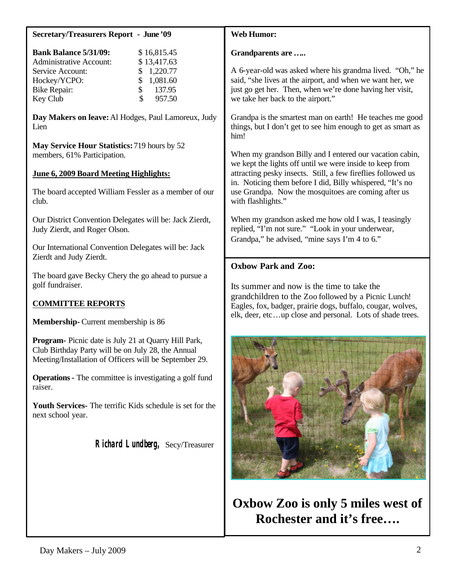| <b>Secretary/Treasurers Report - June '09</b>                                                                                                                                                                         | <b>Web Humor:</b>                                                                                                                                                                                                                                                                                                              |
|-----------------------------------------------------------------------------------------------------------------------------------------------------------------------------------------------------------------------|--------------------------------------------------------------------------------------------------------------------------------------------------------------------------------------------------------------------------------------------------------------------------------------------------------------------------------|
| <b>Bank Balance 5/31/09:</b><br>\$16,815.45<br><b>Administrative Account:</b><br>\$13,417.63<br>1,220.77<br>Service Account:<br>1,081.60<br>Hockey/YCPO:<br>137.95<br><b>Bike Repair:</b><br>\$<br>957.50<br>Key Club | Grandparents are<br>A 6-year-old was asked where his grandma lived. "Oh," he<br>said, "she lives at the airport, and when we want her, we<br>just go get her. Then, when we're done having her visit,<br>we take her back to the airport."                                                                                     |
| Day Makers on leave: Al Hodges, Paul Lamoreux, Judy<br>Lien                                                                                                                                                           | Grandpa is the smartest man on earth! He teaches me good<br>things, but I don't get to see him enough to get as smart as<br>him!                                                                                                                                                                                               |
| May Service Hour Statistics: 719 hours by 52<br>members, 61% Participation.                                                                                                                                           | When my grandson Billy and I entered our vacation cabin,<br>we kept the lights off until we were inside to keep from<br>attracting pesky insects. Still, a few fireflies followed us<br>in. Noticing them before I did, Billy whispered, "It's no<br>use Grandpa. Now the mosquitoes are coming after us<br>with flashlights." |
| June 6, 2009 Board Meeting Highlights:                                                                                                                                                                                |                                                                                                                                                                                                                                                                                                                                |
| The board accepted William Fessler as a member of our<br>club.                                                                                                                                                        |                                                                                                                                                                                                                                                                                                                                |
| Our District Convention Delegates will be: Jack Zierdt,<br>Judy Zierdt, and Roger Olson.                                                                                                                              | When my grandson asked me how old I was, I teasingly<br>replied, "I'm not sure." "Look in your underwear,<br>Grandpa," he advised, "mine says I'm 4 to 6."                                                                                                                                                                     |
| Our International Convention Delegates will be: Jack<br>Zierdt and Judy Zierdt.                                                                                                                                       |                                                                                                                                                                                                                                                                                                                                |
| The board gave Becky Chery the go ahead to pursue a<br>golf fundraiser.                                                                                                                                               | <b>Oxbow Park and Zoo:</b><br>Its summer and now is the time to take the<br>grandchildren to the Zoo followed by a Picnic Lunch!<br>Eagles, fox, badger, prairie dogs, buffalo, cougar, wolves,<br>elk, deer, etcup close and personal. Lots of shade trees.                                                                   |
| <b>COMMITTEE REPORTS</b>                                                                                                                                                                                              |                                                                                                                                                                                                                                                                                                                                |
| <b>Membership-</b> Current membership is 86                                                                                                                                                                           |                                                                                                                                                                                                                                                                                                                                |
| Program-Picnic date is July 21 at Quarry Hill Park,<br>Club Birthday Party will be on July 28, the Annual<br>Meeting/Installation of Officers will be September 29.                                                   |                                                                                                                                                                                                                                                                                                                                |
| <b>Operations -</b> The committee is investigating a golf fund<br>raiser.                                                                                                                                             |                                                                                                                                                                                                                                                                                                                                |
| Youth Services- The terrific Kids schedule is set for the<br>next school year.                                                                                                                                        |                                                                                                                                                                                                                                                                                                                                |
| Richard Lundberg, Secy/Treasurer                                                                                                                                                                                      |                                                                                                                                                                                                                                                                                                                                |

**Oxbow Zoo is only 5 miles west of Rochester and it's free….**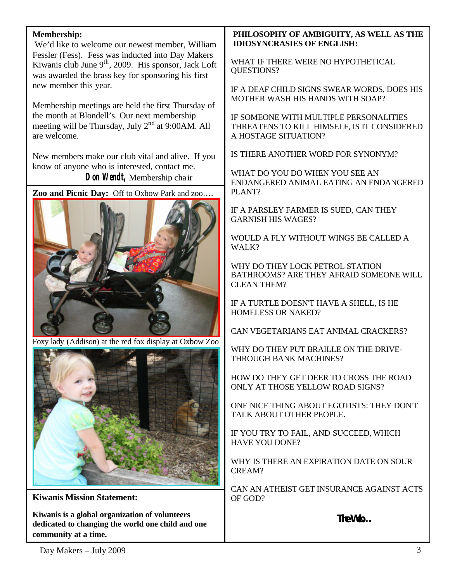# **Membership:**

We'd like to welcome our newest member, William Fessler (Fess). Fess was inducted into Day Makers Kiwanis club June  $9<sup>th</sup>$ , 2009. His sponsor, Jack Loft was awarded the brass key for sponsoring his first new member this year.

Membership meetings are held the first Thursday of the month at Blondell's. Our next membership meeting will be Thursday, July  $2<sup>nd</sup>$  at 9:00 AM. All are welcome.

New members make our club vital and alive. If you know of anyone who is interested, contact me. **Don Wendt,** Membership chair

**Zoo and Picnic Day:** Off to Oxbow Park and zoo….



Foxy lady (Addison) at the red fox display at Oxbow Zoo



**Kiwanis Mission Statement:**

**Kiwanis is a global organization of volunteers dedicated to changing the world one child and one community at a time.**

# **PHILOSOPHY OF AMBIGUITY, AS WELL AS THE IDIOSYNCRASIES OF ENGLISH:**

WHAT IF THERE WERE NO HYPOTHETICAL QUESTIONS?

IF A DEAF CHILD SIGNS SWEAR WORDS, DOES HIS MOTHER WASH HIS HANDS WITH SOAP?

IF SOMEONE WITH MULTIPLE PERSONALITIES THREATENS TO KILL HIMSELF, IS IT CONSIDERED A HOSTAGE SITUATION?

IS THERE ANOTHER WORD FOR SYNONYM?

WHAT DO YOU DO WHEN YOU SEE AN ENDANGERED ANIMAL EATING AN ENDANGERED PLANT?

IF A PARSLEY FARMER IS SUED, CAN THEY GARNISH HIS WAGES?

WOULD A FLY WITHOUT WINGS BE CALLED A WALK?

WHY DO THEY LOCK PETROL STATION BATHROOMS? ARE THEY AFRAID SOMEONE WILL CLEAN THEM?

IF A TURTLE DOESN'T HAVE A SHELL, IS HE HOMELESS OR NAKED?

CAN VEGETARIANS EAT ANIMAL CRACKERS?

WHY DO THEY PUT BRAILLE ON THE DRIVE-THROUGH BANK MACHINES?

HOW DO THEY GET DEER TO CROSS THE ROAD ONLY AT THOSE YELLOW ROAD SIGNS?

ONE NICE THING ABOUT EGOTISTS: THEY DON'T TALK ABOUT OTHER PEOPLE.

IF YOU TRY TO FAIL, AND SUCCEED, WHICH HAVE YOU DONE?

WHY IS THERE AN EXPIRATION DATE ON SOUR CREAM?

CAN AN ATHEIST GET INSURANCE AGAINST ACTS OF GOD?

**The Web….**

 $Day \text{ Makers} - July 2009$  3